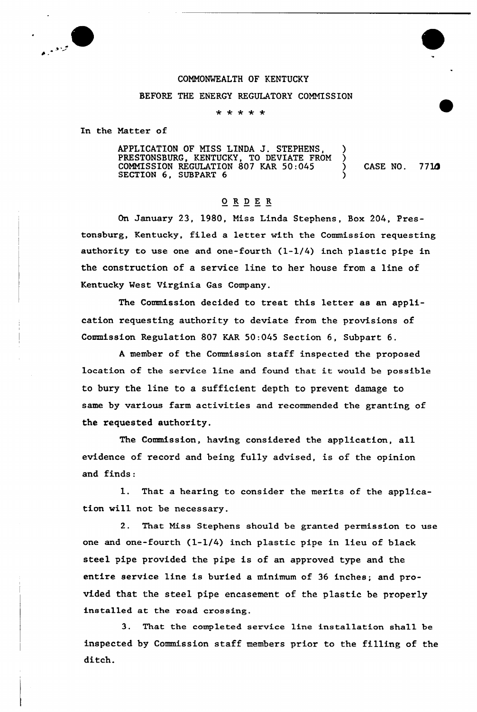

## COMMONWEALTH OF KENTUCKY

## BEFORE THE ENERGY REGULATORY COMMISSION

\* \* \* \* \*

In the Matter of

APPLICATION OF MISS LINDA J. STEPHENS, ) PRESTONSBURG, KENTUCKY, TO DEVIATE FROM ) COMMISSION REGULATION 807 KAR  $50:045$   $($  CASE NO. 7710 SECTION 6, SUBPART 6 (1997)

## 0RDE <sup>R</sup>

On January 23, 1980, Miss Linda Stephens, Box 204, Prestonsburg, Kentucky, filed a letter with the Commission requesting authority to use one and one-fourth (1-1/4) inch plastic pipe in the construction of a service line to her house from a line of Kentucky West Virginia Gas Company.

The Commission decided to treat this letter as an application requesting authority to deviate from the provisions of Commission Regulation 807 KAR 50:045 Section 6, Subpart 6.

A member of the Commission staff inspected the proposed location of the service line and found that it would be possible to bury the line to a sufficient depth to prevent damage to same by various farm activities and recommended the granting of the requested authority.

The Commission, having considered the application, all evidence of record and being fully advised, is of the opinion and finds:

1. That a hearing to consider the merits of the application will not be necessary.

2. That Miss Stephens should be gxanted permission to use one and one-fourth (1-1/4) inch plastic pipe in lieu of black steel pipe provided the pipe is of an approved type and the entire service line is buried a minimum of 36 inches; and provided that the steel pipe encasement of the plastic be properly installed at the road crossing.

3. That the completed sexvice line installation shall be inspected by Commission staff members prior to the filling of the ditch.